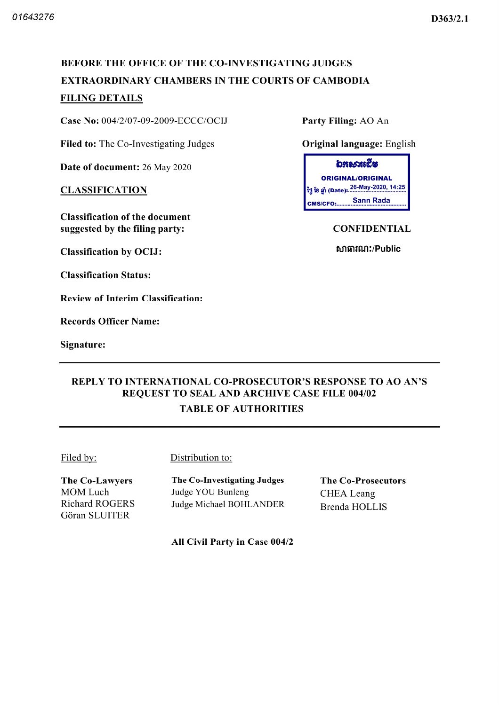#### D363/2.1

# BEFORE THE OFFICE OF THE CO-INVESTIGATING JUDGES EXTRAORDINARY CHAMBERS IN THE COURTS OF CAMBODIA FILING DETAILS

Case No:  $004/2/07-09-2009-ECCC/OCIJ$  Party Filing: AO An

Filed to: The Co-Investigating Judges **Original language:** English

Date of document: 26 May 2020

**CLASSIFICATION** 

Classification of the document suggested by the filing party: CONFIDENTIAL

Classification by OCIJ

Classification Status

Review of Interim Classification

Records Officer Name

Signature

อธุธานธูริส ORIGINAL/ORIGINAL 26 May 2020 14 25 Sann Rada **CMS/CFO:........** 

សាធារណ:/Public

# REPLY TO INTERNATIONAL CO PROSECUTOR'S RESPONSE TO AO AN'S REQUEST TO SEAL AND ARCHIVE CASE FILE 004/02 TABLE OF AUTHORITIES

Filed by: Distribution to:

The Co-Lawyers MOM Luch Richard ROGERS Gôran SLUITER

The Co-Investigating Judges Judge YOU Bunleng Judge Michael BOHLANDER The Co-Prosecutors CHEA Leang Brenda HOLLIS

All Civil Party in Case 004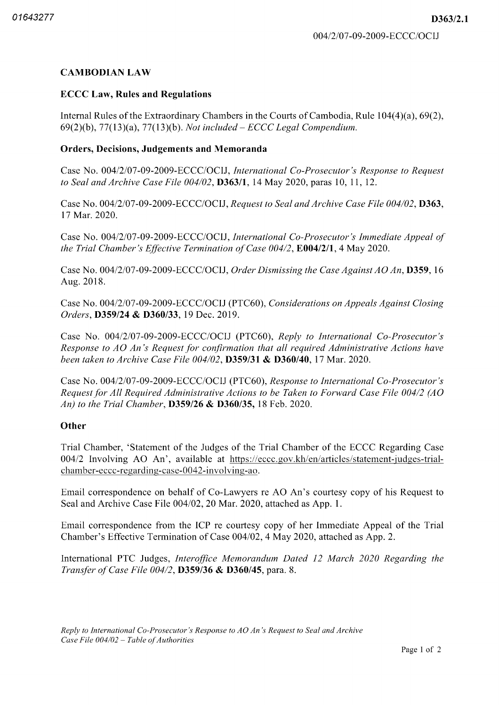# CAMBODIAN LAW

## **ECCC Law, Rules and Regulations**

Internal Rules of the Extraordinary Chambers in the Courts of Cambodia, Rule  $104(4)(a)$ , 69(2),  $69(2)(b)$ ,  $77(13)(a)$ ,  $77(13)(b)$ . Not included – ECCC Legal Compendium.

## Orders, Decisions, Judgements and Memoranda

Case No. 004/2/07-09-2009-ECCC/OCIJ, International Co-Prosecutor's Response to Request to Seal and Archive Case File  $004/02$ , **D363/1**, 14 May 2020, paras 10, 11, 12.

Case No. 004/2/07-09-2009-ECCC/OCIJ, Request to Seal and Archive Case File 004/02, D363, 17 Mar. 2020.

Case No. 004/2/07-09-2009-ECCC/OCIJ, International Co-Prosecutor's Immediate Appeal of the Trial Chamber's Effective Termination of Case  $004/2$ , E004/2/1, 4 May 2020.

Case No.  $0.04/2/07-09-2009-ECCC/OCIJ$ , *Order Dismissing the Case Against AO An*, **D359**, 16 Aug. 2018.

Case No. 004/2/07-09-2009-ECCC/OCIJ (PTC60), Considerations on Appeals Against Closing Orders, D359/24 & D360/33, 19 Dec. 2019.

Case No. 004/2/07-09-2009-ECCC/OCIJ (PTC60), Reply to International Co-Prosecutor's Response to AO An's Request for confirmation that all required Administrative Actions have been taken to Archive Case File  $004/02$ , **D359/31 & D360/40**, 17 Mar, 2020.

Case No. 004/2/07-09-2009-ECCC/OCIJ (PTC60), Response to International Co-Prosecutor's Request for All Required Administrative Actions to be Taken to Forward Case File 004/2 (AO An) to the Trial Chamber,  $D359/26$  &  $D360/35$ , 18 Feb. 2020.

## **Other**

Trial Chamber 'Statement of the Judges of the Trial Chamber of the ECCC Regarding Case 004/2 Involving AO An', available at https://eccc.gov.kh/en/articles/statement-judges-trialchamber-eccc-regarding-case-0042-involving-ao.

Email correspondence on behalf of Co Lawyers re AO An's courtesy copy of his Request to Seal and Archive Case File 004/02, 20 Mar. 2020, attached as App. 1.

Email correspondence from the ICP re courtesy copy of her Immediate Appeal of the Trial Chamber's Effective Termination of Case 004/02, 4 May 2020, attached as App. 2.

International PTC Judges, Interoffice Memorandum Dated 12 March 2020 Regarding the Transfer of Case File  $004/2$ , **D359/36 & D360/45**, para. 8.